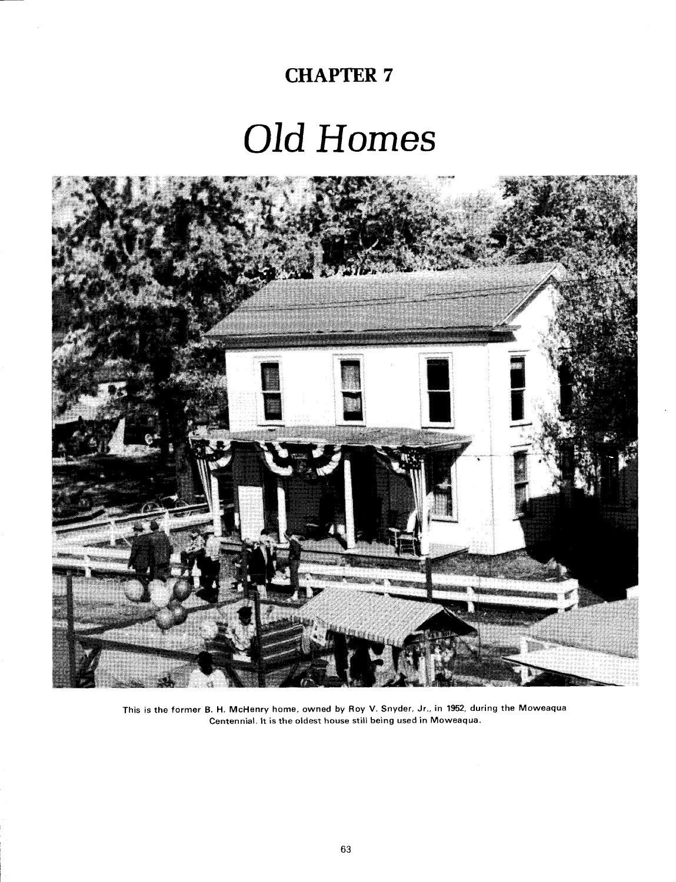## **CHAPTER 7**

# Old Homes



**This is the former 8. H. McHenry home, owned by Roy V. Snyder, Jr., in 1952, during the Moweaqua Centennial. It is the oldest house still being used in Moweaqua.**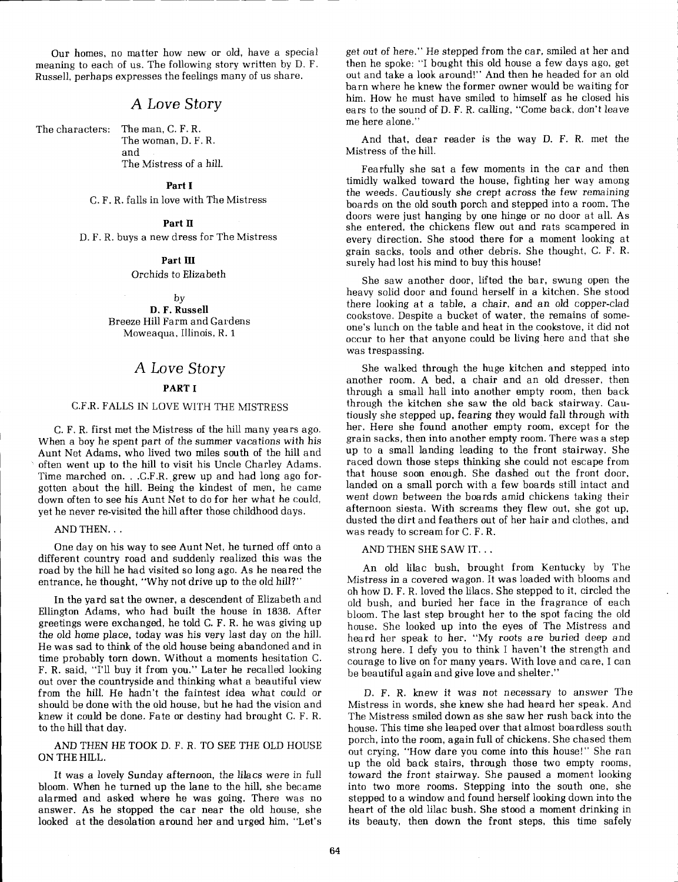Our homes, no matter how new or old, have a special meaning to each of us. The following story written by D. F. Russell, perhaps expresses the feelings many of us share.

#### A Love Story

The characters: The man, C. F. R. The woman, D. F. R. and The Mistress of a hill.

#### Part I

C. F. R. falls in love with The Mistress

#### Part **I1**

D. F. R. buys a new dress for The Mistress

#### Part **111**

Orchids to Elizabeth

by

D. F. Russell Breeze Hill Farm and Gardens Moweaqua, Illinois, R. 1

#### A Love Story

#### PART I

#### C.F.R. FALLS IN LOVE WITH THE MISTRESS

C. F. R. first met the Mistress of the hill many years ago. <sup>I</sup>When a boy he spent part of the summer vacations with his Aunt Net Adams, who lived two miles south of the hill and often went up to the hill to visit his Uncle Charley Adams. Time marched on. . .C.F.R. grew up and had long ago forgotten about the hill. Being the kindest of men, he came down often to see his Aunt Net to do for her what he could, yet he never re-visited the hill after those childhood days.

#### AND THEN. . .

One day on his way to see Aunt Net, he turned off onto a different country road and suddenly realized this was the road by the hill he had visited so long ago. As he neared the entrance, he thought, "Why not drive up to the old hill?"

In the yard sat the owner, a descendent of Elizabeth and Ellington Adams, who had built the house in 1838. After greetings were exchanged, he told C. F. R. he was giving up the old home place, today was his very last day on the hill. He was sad to think of the old house being abandoned and in time probably torn down. Without a moments hesitation C. F. R. said, "I'll buy it from you." Later he recalled looking out over the countryside and thinking what a beautiful view from the hill. He hadn't the faintest idea what could or should be done with the old house, but he had the vision and knew it could be done. Fate or destiny had brought C. F. R. to the hill that day.

AND THEN HE TOOK D. F. R. TO SEE THE OLD HOUSE ON THE HILL.

It was a lovely Sunday afternoon, the lilacs were in full bloom. When he turned up the lane to the hill, she became alarmed and asked where he was going. There was no answer. As he stopped the car near the old house, she looked at the desolation around her and urged him, "Let's get out of here." He stepped from the car, smiled at her and then he spoke: "I bought this old house a few days ago, get out and take a look around!" And then he headed for an old barn where he knew the former owner would be waiting for him. How he must have smiled to himself as he closed his ears to the sound of D. F. R. calling, "Come back, don't leave me here alone."

And that, dear reader is the way D. F. R. met the Mistress of the hill.

Fearfully she sat a few moments in the car and then timidly walked toward the house, fighting her way among the weeds. Cautiously she crept across the few remaining boards on the old south porch and stepped into a room. The doors were just hanging by one hinge or no door at all. As she entered, the chickens flew out and rats scampered in every direction. She stood there for a moment looking at grain sacks, tools and other debris. She thought, C. F. R. surely had lost his mind to buy this house!

She saw another door, lifted the bar, swung open the heavy solid door and found herself in a kitchen. She stood there looking at a table, a chair, and an old copper-clad cookstove. Despite a bucket of water, the remains of someone's lunch on the table and heat in the cookstove, it did not occur to her that anyone could be living here and that she was trespassing.

She walked through the huge kitchen and stepped into another room. A bed, a chair and an old dresser, then through a small hall into another empty room, then back through the kitchen she saw the old back stairway. Cautiously she stepped up, fearing they would fall through with her. Here she found another empty room, except for the grain sacks, then into another empty room. There was a step up to a small landing leading to the front stairway. She raced down those steps thinking she could not escape from that house soon enough. She dashed out the front door, landed on a small porch with a few boards still intact and went down between the boards amid chickens taking their afternoon siesta. With screams they flew out, she got up, dusted the dirt and feathers out of her hair and clothes, and was ready to scream for C. F. R.

AND THEN SHE SAW IT. . .

An old lilac bush, brought from Kentucky by The Mistress in a covered wagon. It was loaded with blooms and oh how D. F. R. loved the lilacs. She stepped to it, circled the old bush, and buried her face in the fragrance of each bloom. The last step brought her to the spot facing the old house. She looked up into the eyes of The Mistress and heard her speak to her. "My roots are buried deep and strong here. I defy you to think I haven't the strength and courage to live on for many years. With love and care, I can be beautiful again and give love and shelter."

D. F. R. knew it was not necessary to answer The Mistress in words, she knew she had heard her speak. And The Mistress smiled down as she saw her rush back into the house. This time she leaped over that almost boardless south porch, into the room, again full of chickens. She chased them out crying, "How dare you come into this house!" She ran up the old back stairs, through those two empty rooms, toward the front stairway. She paused a moment looking into two more rooms. Stepping into the south one, she stepped to a window and found herself looking down into the heart of the old lilac bush. She stood a moment drinking in its beauty, then down the front steps, this time safely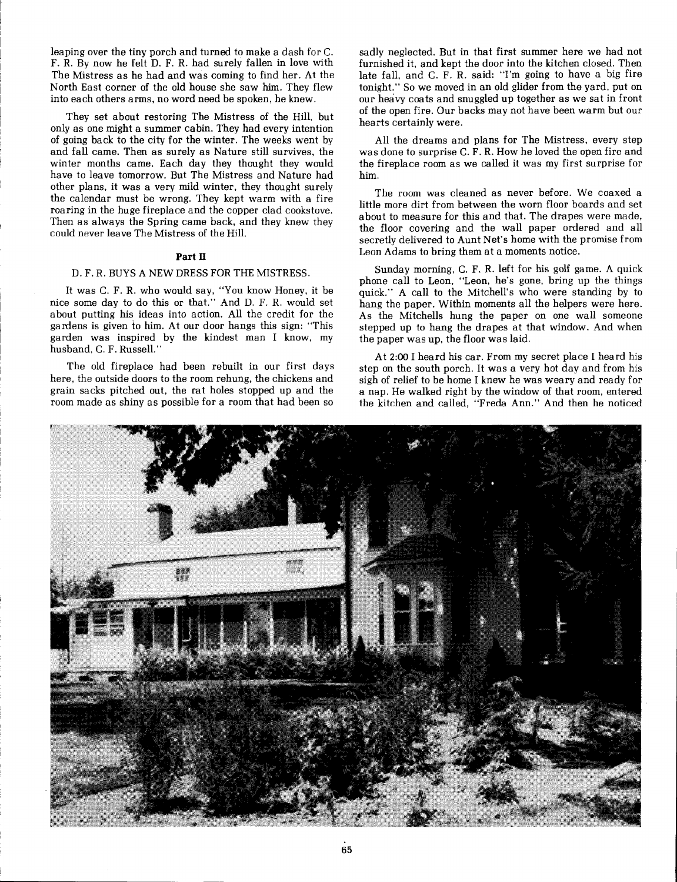leaping over the tiny porch and turned to make a dash for C. I F. R. By now he felt D. F. R. had surely fallen in love with The Mistress as he had and was coming to find her. At the 1 North East corner of the old house she saw him. They flew into each others arms, no word need be spoken, he knew.

They set about restoring The Mistress of the Hill, but only as one might a summer cabin. They had every intention of going back to the city for the winter. The weeks went by and fall came. Then as surely as Nature still survives, the winter months came. Each day they thought they would have to leave tomorrow. But The Mistress and Nature had other plans, it was a very mild winter, they thought surely the calendar must be wrong. They kept warm with a fire roaring in the huge fireplace and the copper clad cookstove. Then as always the Spring came back, and they knew they could never leave The Mistress of the Hill.

#### **Part I1**

#### D. F. R. BUYS A NEW DRESS FOR THE MISTRESS.

It was C. F. R. who would say, "You know Honey, it be nice some day to do this or that." And D. F. R. would set about putting his ideas into action. All the credit for the gardens is given to him. At our door hangs this sign: "This garden was inspired by the kindest man I know, my husband, C. F. Russell.'

The old fireplace had been rebuilt in our first days here, the outside doors to the room rehung, the chickens and grain sacks pitched out, the rat holes stopped up and the room made as shiny as possible for a room that had been so sadly neglected. But in that first summer here we had not furnished it, and kept the door into the kitchen closed. Then late fall, and C. F. R. said: "I'm going to have a big fire tonight." So we moved in an old glider from the yard, put on our heavy coats and snuggled up together as we sat in front of the open fire. Our backs may not have been warm but our hearts certainly were.

All the dreams and plans for The Mistress, every step was done to surprise C. F. R. How he loved the open fire and the fireplace room as we called it was my first surprise for him.

The room was cleaned as never before. We coaxed a little more dirt from between the worn floor boards and set about to measure for this and that. The drapes were made, the floor covering and the wall paper ordered and all secretly delivered to Aunt Net's home with the promise from Leon Adams to bring them at a moments notice.

Sunday morning, C. F. R. left for his golf game. **A** quick phone call to Leon, "Leon, he's gone, bring up the things quick." A call to the Mitchell's who were standing by to hang the paper. Within moments all the helpers were here. As the Mitchells hung the paper on one wall someone stepped up to hang the drapes at that window. And when the paper was up, the floor was laid.

At **2:00** I heard his car. From my secret place I heard his step on the south porch. It was a very hot day and from his sigh of relief to be home I knew he was weary and ready for a nap. He walked right by the window of that room, entered the kitchen and called, "Freda Ann." And then he noticed

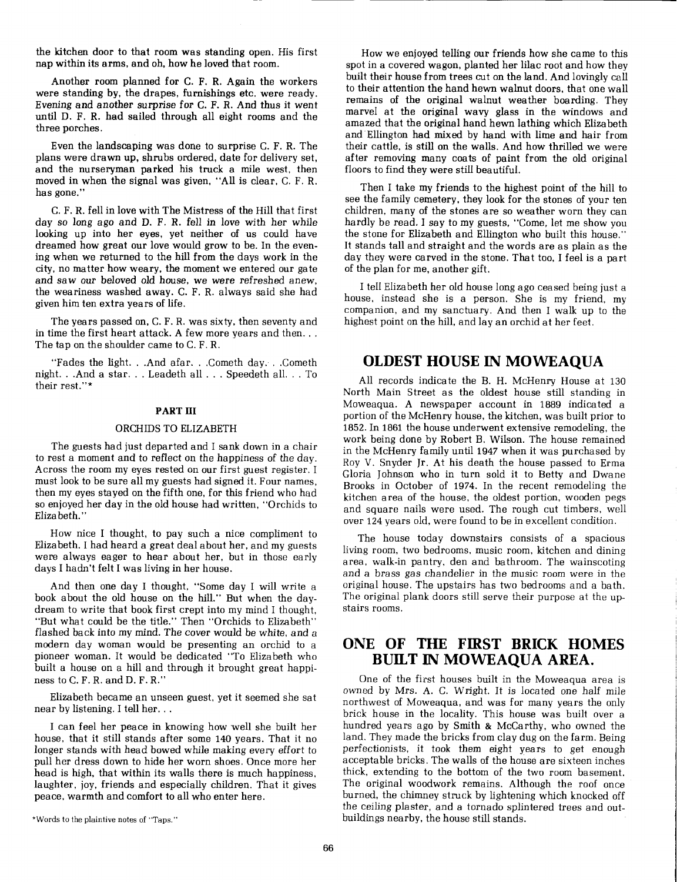the kitchen door to that room was standing open. His first nap within its arms, and oh, how he loved that room.

Another room planned for C. F. R. Again the workers were standing by, the drapes, furnishings etc. were ready. Evening and another surprise for C. F. R. And thus it went until D. F. R. had sailed through all eight rooms and the three porches.

Even the landscaping was done to surprise C. F. R. The plans were drawn up, shrubs ordered, date for delivery set, and the nurseryman parked his truck a mile west, then moved in when the signal was given, "All is clear, C. F. R. has gone."

C. F. R. fell in love with The Mistress of the Hill that first day so long ago and D. F. R. fell in love with her while looking up into her eyes, yet neither of us could have dreamed how great our love would grow to be. In the evening when we returned to the hill from the days work in the city, no matter how weary, the moment we entered our gate and saw our beloved old house, we were refreshed anew, the weariness washed away. C. F. R. always said she had given him ten extra years of life.

The years passed on, C. F. R. was sixty, then seventy and in time the first heart attack. A few more years and then... The tap on the shoulder came to C. F. R.

"Fades the light. . .And afar. . .Cometh day. . .Cometh night. . .And a star. . . Leadeth all . . . Speedeth all. . . To their rest."\*

#### **PART 111**

#### ORCHIDS TO ELIZABETH

The guests had just departed and I sank down in a chair to rest a moment and to reflect on the happiness of the day. Across the room my eyes rested on our first guest register. I must look to be sure all my guests had signed it. Four names, then my eyes stayed on the fifth one, for this friend who had so enjoyed her day in the old house had written, "Orchids to Elizabeth."

How nice I thought, to pay such a nice compliment to Elizabeth. I had heard a great deal about her, and my guests were always eager to hear about her, but in those early days I hadn't felt I was living in her house.

And then one day I thought, "Some day I will write a book about the old house on the hill." But when the daydream to write that book first crept into my mind I thought, "But what could be the title." Then "Orchids to Elizabeth" flashed back into my mind. The cover would be white, and a modern day woman would be presenting an orchid to a pioneer woman. It would be dedicated "To Elizabeth who built a house on a hill and through it brought great happiness to C. F. R. and D. F. R."

Elizabeth became an unseen guest, yet it seemed she sat near by listening. I tell her. . .

I can feel her peace in knowing how well she built her house, that it still stands after some 140 years. That it no longer stands with head bowed while making every effort to pull her dress down to hide her worn shoes. Once more her head is high, that within its walls there is much happiness. laughter, joy, friends and especially children. That it gives peace, warmth and comfort to all who enter here.

How we enjoyed telling our friends how she came to this spot in a covered wagon, planted her lilac root and how they built their house from trees cut on the land. And lovingly call to their attention the hand hewn walnut doors, that one wall remains of the original walnut weather boarding. They marvel at the original wavy glass in the windows and amazed that the original hand hewn lathing which Elizabeth and Ellington had mixed by hand with lime and hair from their cattle, is still on the walls. And how thrilled we were after removing many coats of paint from the old original floors to find they were still beautiful.

Then I take my friends to the highest point of the hill to see the family cemetery, they look for the stones of your ten children, many of the stones are so weather worn they can hardly be read. I say to my guests, "Come, let me show you the stone for Elizabeth and Ellington who built this house." It stands tall and straight and the words are as plain as the day they were carved in the stone. That too, I feel is a part of the plan for me, another gift.

I tell Elizabeth her old house long ago ceased being just a house, instead she is a person. She is my friend, my companion, and my sanctuary. And then I walk up to the highest point on the hill, and lay an orchid at her feet.

#### **OLDEST HOUSE IN MOWEAQUA**

All records indicate the B. H. McHenry House at 130 North Main Street as the oldest house still standing in Moweaqua. A newspaper account in 1889 indicated a portion of the McHenry house, the kitchen, was built prior to 1852. In 1861 the house underwent extensive remodeling, the work being done by Robert B. Wilson. The house remained in the McHenry family until 1947 when it was purchased by Roy V. Snyder Jr. At his death the house passed to Erma Gloria Johnson who in turn sold it to Betty and Dwane Brooks in October of 1974. In the recent remodeling the kitchen area of the house, the oldest portion, wooden pegs and square nails were used. The rough cut timbers, well over 124 years old, were found to be in excellent condition.

The house today downstairs consists of a spacious living room, two bedrooms, music room, kitchen and dining area, walk-in pantry, den and bathroom. The wainscoting and a brass gas chandelier in the music room were in the original house. The upstairs has two bedrooms and a bath. The original plank doors still serve their purpose at the upstairs rooms.

### **ONE OF THE FIRST BRICK HOMES BUILT IN MOWEAQUA AREA.**

One of the first houses built in the Moweaqua area is owned by Mrs. A. C. Wright. It is located one half mile northwest of Moweaqua, and was for many years the only brick house in the locality. This house was built over a hundred years ago by Smith & McCarthy, who owned the land. They made the bricks from clay dug on the farm. Being perfectionists, it took them eight years to get enough acceptable bricks. The walls of the house are sixteen inches thick, extending to the bottom of the two room basement. The original woodwork remains. Although the roof once burned, the chimney struck by lightening which knocked off the ceiling plaster, and a tornado splintered trees and outbuildings nearby, the house still stands.

<sup>\*</sup>Words to the plaintive notes of "Taps."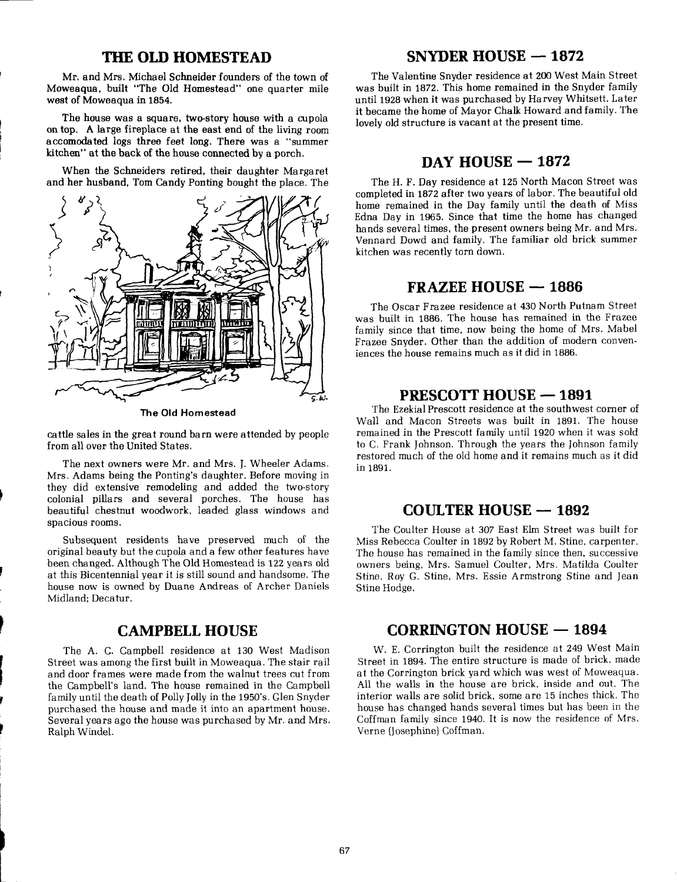#### **THE OLD HOMESTEAD**

Mr. and Mrs. Michael Schneider founders of the town of Moweaqua, built "The Old Homestead" one quarter mile west of Moweaqua in 1854.

The house was a square, two-story house with a cupola on top. **A** large fireplace at the east end of the living room accomodated logs three feet long. There was a "summer kitchen" at the back of the house connected by a porch.

When the Schneiders retired, their daughter Margaret and her husband, Tom Candy Ponting bought the place. The



**The Old Homestead** 

cattle sales in the great round barn were attended by people from all over the United States.

The next owners were Mr. and Mrs. J. Wheeler Adams. Mrs. Adams being the Ponting's daughter. Before moving in they did extensive remodeling and added the two-story colonial pillars and several porches. The house has beautiful chestnut woodwork, leaded glass windows and spacious rooms.

Subsequent residents have preserved much of the original beauty but the cupola and a few other features have been changed. Although The Old Homestead is 122 years old at this Bicentennial year it is still sound and handsome. The house now is owned by Duane Andreas of Archer Daniels Midland: Decatur.

#### **CAMPBELL HOUSE**

The A. C. Campbell residence at 130 West Madison Street was among the first built in Moweaqua. The stair rail and door frames were made from the walnut trees cut from the Campbell's land. The house remained in the Campbell family until the death of Polly Jolly in the 1950's. Glen Snyder purchased the house and made it into an apartment house. Several years ago the house was purchased by Mr. and Mrs. Ralph Windel.

### **SNYDER HOUSE - 1872**

The Valentine Snyder residence at 200 West Main Street was built in 1872. This home remained in the Snyder family until 1928 when it was purchased by Harvey Whitsett. Later it became the home of Mayor Chalk Howard and family. The lovely old structure is vacant at the present time.

### **DAY HOUSE - 1872**

The H. F. Day residence at 125 North Macon Street was completed in 1872 after two years of labor. The beautiful old home remained in the Day family until the death of Miss Edna Day in 1965. Since that time the home has changed hands several times, the present owners being Mr. and Mrs. Vennard Dowd and family. The familiar old brick summer kitchen was recently torn down.

#### **FRAZEE HOUSE - 1886**

The Oscar Frazee residence at 430 North Putnam Street was built in 1886. The house has remained in the Frazee family since that time, now being the home of Mrs. Mabel Frazee Snyder. Other than the addition of modern conveniences the house remains much as it did in 1886.

#### **PRESCOTT HOUSE - 1891**

The EzekialPrescott residence at the southwest corner of Wall and Macon Streets was built in 1891. The house remained in the Prescott family until 1920 when it was sold to C. Frank Johnson. Through the years the Johnson family restored much of the old home and it remains much as it did in 1891.

#### **COULTER HOUSE** - **<sup>1892</sup>**

The Coulter House at 307 East Elm Street was built for Miss Rebecca Coulter in 1892 by Robert M. Stine, carpenter. The house has remained in the family since then, successive owners being, Mrs. Samuel Coulter, Mrs. Matilda Coulter Stine, Roy G. Stine, Mrs. Essie Armstrong Stine and Jean Stine Hodge.

#### **CORRINGTON HOUSE** - **<sup>1894</sup>**

W. E. Corrington built the residence at 249 West Main Street in 1894. The entire structure is made of brick, made at the Corrington brick yard which was west of Moweaqua. All the walls in the house are brick, inside and out. The interior walls are solid brick, some are 15 inches thick. The house has changed hands several times but has been in the Coffman family since 1940. It is now the residence of Mrs. Verne (Josephine) Coffman.